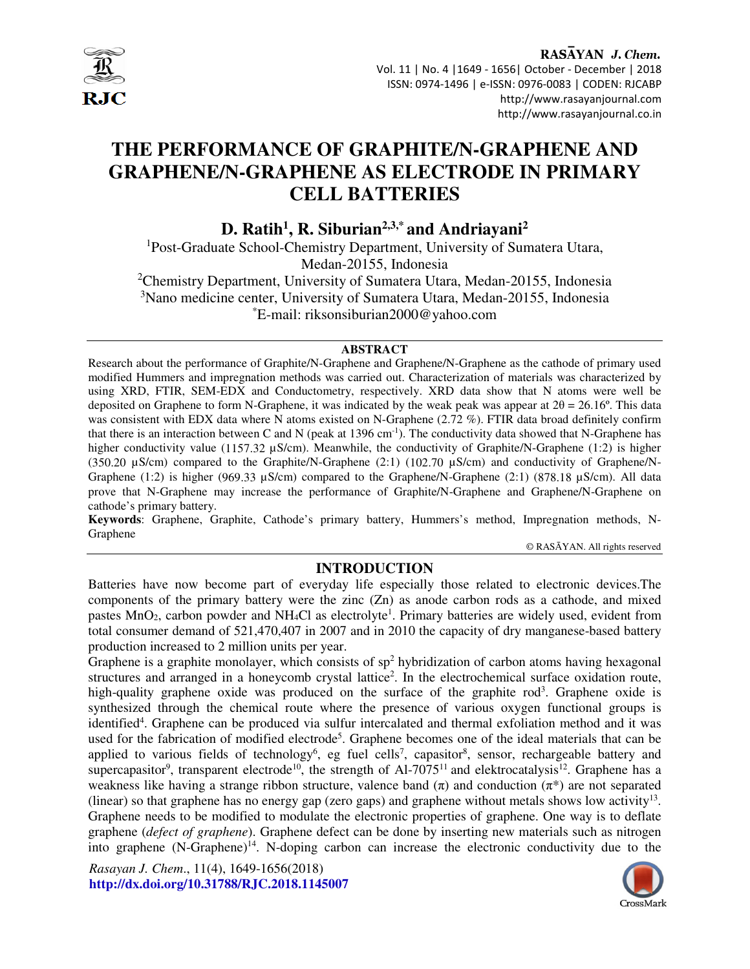

 Vol. 11 | No. 4 |1649 - 1656| October - December | 2018 ISSN: 0974-1496 | e-ISSN: 0976-0083 | CODEN: RJCABP http://www.rasayanjournal.com http://www.rasayanjournal.co.in

# **THE PERFORMANCE OF GRAPHITE/N-GRAPHENE AND GRAPHENE/N-GRAPHENE AS ELECTRODE IN PRIMARY CELL BATTERIES**

**D. Ratih<sup>1</sup> , R. Siburian2,3,\* and Andriayani<sup>2</sup>**

<sup>1</sup>Post-Graduate School-Chemistry Department, University of Sumatera Utara, Medan-20155, Indonesia

<sup>2</sup>Chemistry Department, University of Sumatera Utara, Medan-20155, Indonesia <sup>3</sup>Nano medicine center, University of Sumatera Utara, Medan-20155, Indonesia \*E-mail: riksonsiburian2000@yahoo.com

#### **ABSTRACT**

Research about the performance of Graphite/N-Graphene and Graphene/N-Graphene as the cathode of primary used modified Hummers and impregnation methods was carried out. Characterization of materials was characterized by using XRD, FTIR, SEM-EDX and Conductometry, respectively. XRD data show that N atoms were well be deposited on Graphene to form N-Graphene, it was indicated by the weak peak was appear at  $2\theta = 26.16^{\circ}$ . This data was consistent with EDX data where N atoms existed on N-Graphene (2.72 %). FTIR data broad definitely confirm that there is an interaction between C and N (peak at 1396 cm<sup>-1</sup>). The conductivity data showed that N-Graphene has higher conductivity value (1157.32 µS/cm). Meanwhile, the conductivity of Graphite/N-Graphene (1:2) is higher (350.20 µS/cm) compared to the Graphite/N-Graphene (2:1) (102.70 µS/cm) and conductivity of Graphene/N-Graphene (1:2) is higher (969.33  $\mu$ S/cm) compared to the Graphene/N-Graphene (2:1) (878.18  $\mu$ S/cm). All data prove that N-Graphene may increase the performance of Graphite/N-Graphene and Graphene/N-Graphene on cathode's primary battery.

**Keywords**: Graphene, Graphite, Cathode's primary battery, Hummers's method, Impregnation methods, N-Graphene

© RASĀYAN. All rights reserved

## **INTRODUCTION**

Batteries have now become part of everyday life especially those related to electronic devices.The components of the primary battery were the zinc (Zn) as anode carbon rods as a cathode, and mixed pastes MnO<sub>2</sub>, carbon powder and NH<sub>4</sub>Cl as electrolyte<sup>1</sup>. Primary batteries are widely used, evident from total consumer demand of 521,470,407 in 2007 and in 2010 the capacity of dry manganese-based battery production increased to 2 million units per year.

Graphene is a graphite monolayer, which consists of  $sp<sup>2</sup>$  hybridization of carbon atoms having hexagonal structures and arranged in a honeycomb crystal lattice<sup>2</sup>. In the electrochemical surface oxidation route, high-quality graphene oxide was produced on the surface of the graphite rod<sup>3</sup>. Graphene oxide is synthesized through the chemical route where the presence of various oxygen functional groups is identified<sup>4</sup>. Graphene can be produced via sulfur intercalated and thermal exfoliation method and it was used for the fabrication of modified electrode<sup>5</sup>. Graphene becomes one of the ideal materials that can be applied to various fields of technology<sup>6</sup>, eg fuel cells<sup>7</sup>, capasitor<sup>8</sup>, sensor, rechargeable battery and supercapasitor<sup>9</sup>, transparent electrode<sup>10</sup>, the strength of Al-7075<sup>11</sup> and elektrocatalysis<sup>12</sup>. Graphene has a weakness like having a strange ribbon structure, valence band  $(\pi)$  and conduction  $(\pi^*)$  are not separated (linear) so that graphene has no energy gap (zero gaps) and graphene without metals shows low activity<sup>13</sup>. Graphene needs to be modified to modulate the electronic properties of graphene. One way is to deflate graphene (*defect of graphene*). Graphene defect can be done by inserting new materials such as nitrogen into graphene  $(N-Graphene)^{14}$ . N-doping carbon can increase the electronic conductivity due to the

*Rasayan J. Chem*., 11(4), 1649-1656(2018) **http://dx.doi.org/10.31788/RJC.2018.1145007** 

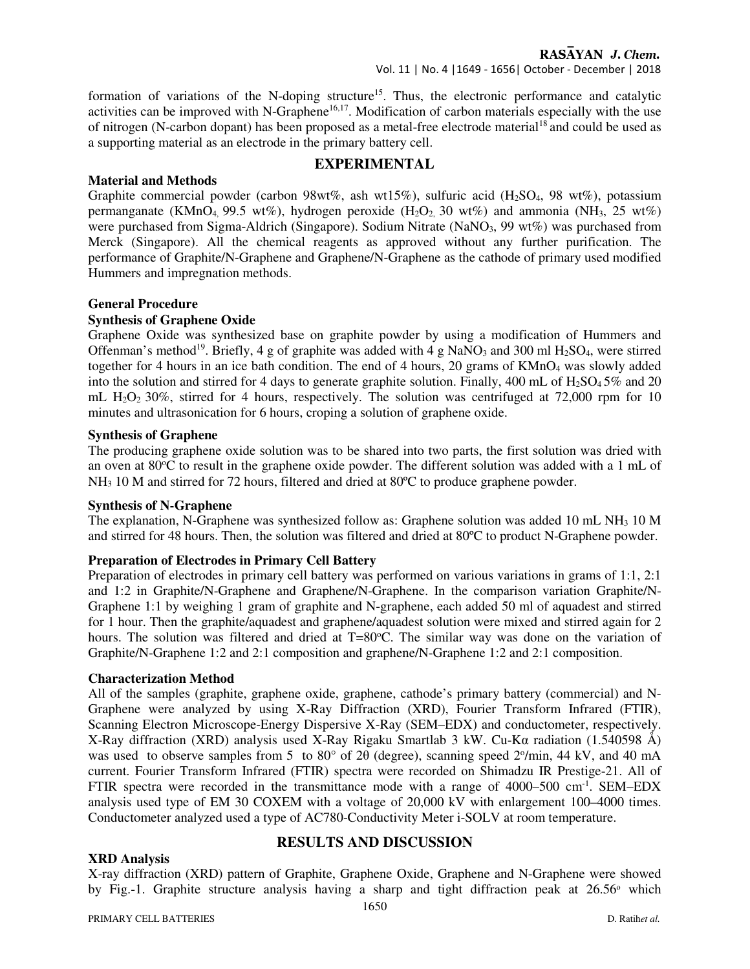## Vol. 11 | No. 4 |1649 - 1656| October - December | 2018

formation of variations of the N-doping structure<sup>15</sup>. Thus, the electronic performance and catalytic activities can be improved with N-Graphene<sup>16,17</sup>. Modification of carbon materials especially with the use of nitrogen (N-carbon dopant) has been proposed as a metal-free electrode material<sup>18</sup> and could be used as a supporting material as an electrode in the primary battery cell.

## **EXPERIMENTAL**

## **Material and Methods**

Graphite commercial powder (carbon 98wt%, ash wt15%), sulfuric acid (H<sub>2</sub>SO<sub>4</sub>, 98 wt%), potassium permanganate (KMnO<sub>4</sub>, 99.5 wt%), hydrogen peroxide (H<sub>2</sub>O<sub>2</sub>, 30 wt%) and ammonia (NH<sub>3</sub>, 25 wt%) were purchased from Sigma-Aldrich (Singapore). Sodium Nitrate (NaNO<sub>3</sub>, 99 wt%) was purchased from Merck (Singapore). All the chemical reagents as approved without any further purification. The performance of Graphite/N-Graphene and Graphene/N-Graphene as the cathode of primary used modified Hummers and impregnation methods.

## **General Procedure**

## **Synthesis of Graphene Oxide**

Graphene Oxide was synthesized base on graphite powder by using a modification of Hummers and Offenman's method<sup>19</sup>. Briefly, 4 g of graphite was added with 4 g NaNO<sub>3</sub> and 300 ml H<sub>2</sub>SO<sub>4</sub>, were stirred together for 4 hours in an ice bath condition. The end of 4 hours, 20 grams of  $KMnO_4$  was slowly added into the solution and stirred for 4 days to generate graphite solution. Finally, 400 mL of  $H_2SO_4 5\%$  and 20 mL  $H<sub>2</sub>O<sub>2</sub> 30%$ , stirred for 4 hours, respectively. The solution was centrifuged at 72,000 rpm for 10 minutes and ultrasonication for 6 hours, croping a solution of graphene oxide.

#### **Synthesis of Graphene**

The producing graphene oxide solution was to be shared into two parts, the first solution was dried with an oven at  $80^{\circ}$ C to result in the graphene oxide powder. The different solution was added with a 1 mL of NH3 10 M and stirred for 72 hours, filtered and dried at 80ºC to produce graphene powder.

#### **Synthesis of N-Graphene**

The explanation, N-Graphene was synthesized follow as: Graphene solution was added 10 mL NH<sub>3</sub> 10 M and stirred for 48 hours. Then, the solution was filtered and dried at 80ºC to product N-Graphene powder.

#### **Preparation of Electrodes in Primary Cell Battery**

Preparation of electrodes in primary cell battery was performed on various variations in grams of 1:1, 2:1 and 1:2 in Graphite/N-Graphene and Graphene/N-Graphene. In the comparison variation Graphite/N-Graphene 1:1 by weighing 1 gram of graphite and N-graphene, each added 50 ml of aquadest and stirred for 1 hour. Then the graphite/aquadest and graphene/aquadest solution were mixed and stirred again for 2 hours. The solution was filtered and dried at  $T=80^{\circ}$ C. The similar way was done on the variation of Graphite/N-Graphene 1:2 and 2:1 composition and graphene/N-Graphene 1:2 and 2:1 composition.

#### **Characterization Method**

All of the samples (graphite, graphene oxide, graphene, cathode's primary battery (commercial) and N-Graphene were analyzed by using X-Ray Diffraction (XRD), Fourier Transform Infrared (FTIR), Scanning Electron Microscope-Energy Dispersive X-Ray (SEM–EDX) and conductometer, respectively. X-Ray diffraction (XRD) analysis used X-Ray Rigaku Smartlab 3 kW. Cu-Kα radiation (1.540598 Å) was used to observe samples from 5 to 80° of 2θ (degree), scanning speed 2°/min, 44 kV, and 40 mA current. Fourier Transform Infrared (FTIR) spectra were recorded on Shimadzu IR Prestige-21. All of FTIR spectra were recorded in the transmittance mode with a range of 4000–500 cm<sup>-1</sup>. SEM–EDX analysis used type of EM 30 COXEM with a voltage of 20,000 kV with enlargement 100–4000 times. Conductometer analyzed used a type of AC780-Conductivity Meter i-SOLV at room temperature.

#### **XRD Analysis**

# **RESULTS AND DISCUSSION**

X-ray diffraction (XRD) pattern of Graphite, Graphene Oxide, Graphene and N-Graphene were showed by Fig.-1. Graphite structure analysis having a sharp and tight diffraction peak at  $26.56\degree$  which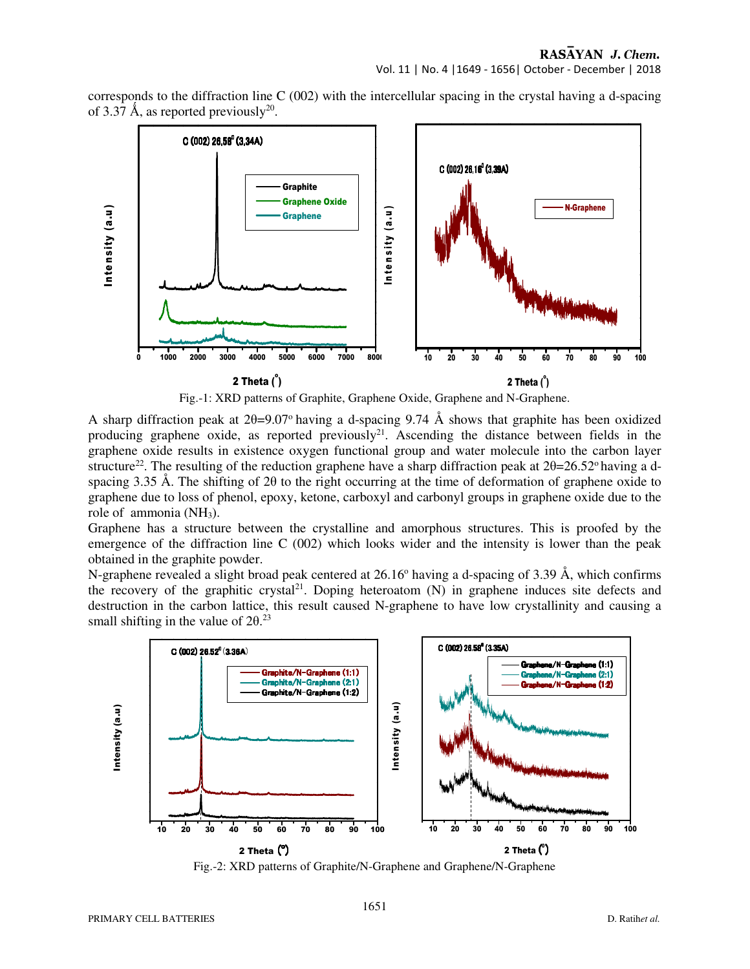corresponds to the diffraction line C (002) with the intercellular spacing in the crystal having a d-spacing of 3.37 Å, as reported previously<sup>20</sup>.



Fig.-1: XRD patterns of Graphite, Graphene Oxide, Graphene and N-Graphene.

A sharp diffraction peak at  $2\theta = 9.07^\circ$  having a d-spacing 9.74 Å shows that graphite has been oxidized producing graphene oxide, as reported previously<sup>21</sup>. Ascending the distance between fields in the graphene oxide results in existence oxygen functional group and water molecule into the carbon layer structure<sup>22</sup>. The resulting of the reduction graphene have a sharp diffraction peak at  $2\theta=26.52^{\circ}$  having a dspacing 3.35 Å. The shifting of 2θ to the right occurring at the time of deformation of graphene oxide to graphene due to loss of phenol, epoxy, ketone, carboxyl and carbonyl groups in graphene oxide due to the role of ammonia (NH3).

Graphene has a structure between the crystalline and amorphous structures. This is proofed by the emergence of the diffraction line C (002) which looks wider and the intensity is lower than the peak obtained in the graphite powder.

N-graphene revealed a slight broad peak centered at 26.16° having a d-spacing of 3.39 Å, which confirms the recovery of the graphitic crystal<sup>21</sup>. Doping heteroatom  $(N)$  in graphene induces site defects and destruction in the carbon lattice, this result caused N-graphene to have low crystallinity and causing a small shifting in the value of  $2\theta$ .<sup>23</sup>



Fig.-2: XRD patterns of Graphite/N-Graphene and Graphene/N-Graphene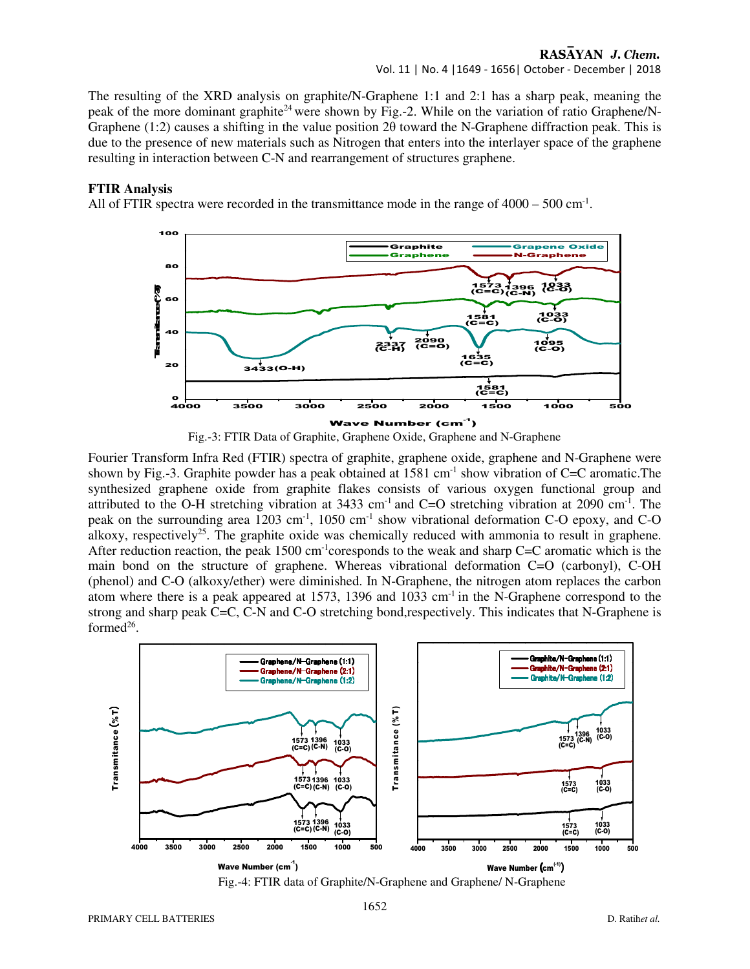#### RASAYAN J. Chem. Vol. 11 | No. 4 |1649 - 1656| October - December | 2018

The resulting of the XRD analysis on graphite/N-Graphene 1:1 and 2:1 has a sharp peak, meaning the peak of the more dominant graphite<sup>24</sup> were shown by Fig.-2. While on the variation of ratio Graphene/N-Graphene (1:2) causes a shifting in the value position 2θ toward the N-Graphene diffraction peak. This is due to the presence of new materials such as Nitrogen that enters into the interlayer space of the graphene resulting in interaction between C-N and rearrangement of structures graphene.

#### **FTIR Analysis**

All of FTIR spectra were recorded in the transmittance mode in the range of  $4000 - 500$  cm<sup>-1</sup>.





Fourier Transform Infra Red (FTIR) spectra of graphite, graphene oxide, graphene and N-Graphene were shown by Fig.-3. Graphite powder has a peak obtained at  $1581 \text{ cm}^{-1}$  show vibration of C=C aromatic. The synthesized graphene oxide from graphite flakes consists of various oxygen functional group and attributed to the O-H stretching vibration at 3433 cm-1 and C=O stretching vibration at 2090 cm-1. The peak on the surrounding area  $1203 \text{ cm}^{-1}$ ,  $1050 \text{ cm}^{-1}$  show vibrational deformation C-O epoxy, and C-O alkoxy, respectively<sup>25</sup>. The graphite oxide was chemically reduced with ammonia to result in graphene. After reduction reaction, the peak  $1500 \text{ cm}^{-1}$ coresponds to the weak and sharp C=C aromatic which is the main bond on the structure of graphene. Whereas vibrational deformation C=O (carbonyl), C-OH (phenol) and C-O (alkoxy/ether) were diminished. In N-Graphene, the nitrogen atom replaces the carbon atom where there is a peak appeared at 1573, 1396 and 1033 cm<sup>-1</sup> in the N-Graphene correspond to the strong and sharp peak C=C, C-N and C-O stretching bond,respectively. This indicates that N-Graphene is formed<sup>26</sup>.

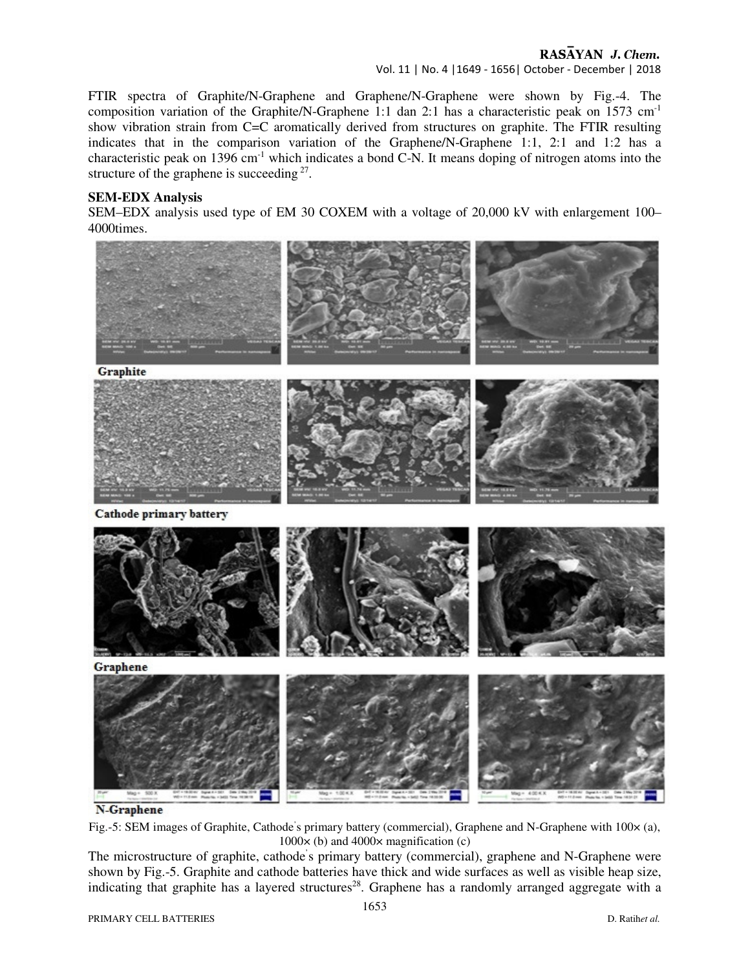Vol. 11 | No. 4 |1649 - 1656| October - December | 2018

FTIR spectra of Graphite/N-Graphene and Graphene/N-Graphene were shown by Fig.-4. The composition variation of the Graphite/N-Graphene 1:1 dan 2:1 has a characteristic peak on 1573 cm-1 show vibration strain from C=C aromatically derived from structures on graphite. The FTIR resulting indicates that in the comparison variation of the Graphene/N-Graphene 1:1, 2:1 and 1:2 has a characteristic peak on  $1396 \text{ cm}^{-1}$  which indicates a bond C-N. It means doping of nitrogen atoms into the structure of the graphene is succeeding  $27$ .

#### **SEM-EDX Analysis**

SEM–EDX analysis used type of EM 30 COXEM with a voltage of 20,000 kV with enlargement 100– 4000times.





Fig.-5: SEM images of Graphite, Cathode's primary battery (commercial), Graphene and N-Graphene with  $100 \times (a)$ ,  $1000 \times$  (b) and  $4000 \times$  magnification (c)

The microstructure of graphite, cathode' s primary battery (commercial), graphene and N-Graphene were shown by Fig.-5. Graphite and cathode batteries have thick and wide surfaces as well as visible heap size, indicating that graphite has a layered structures<sup>28</sup>. Graphene has a randomly arranged aggregate with a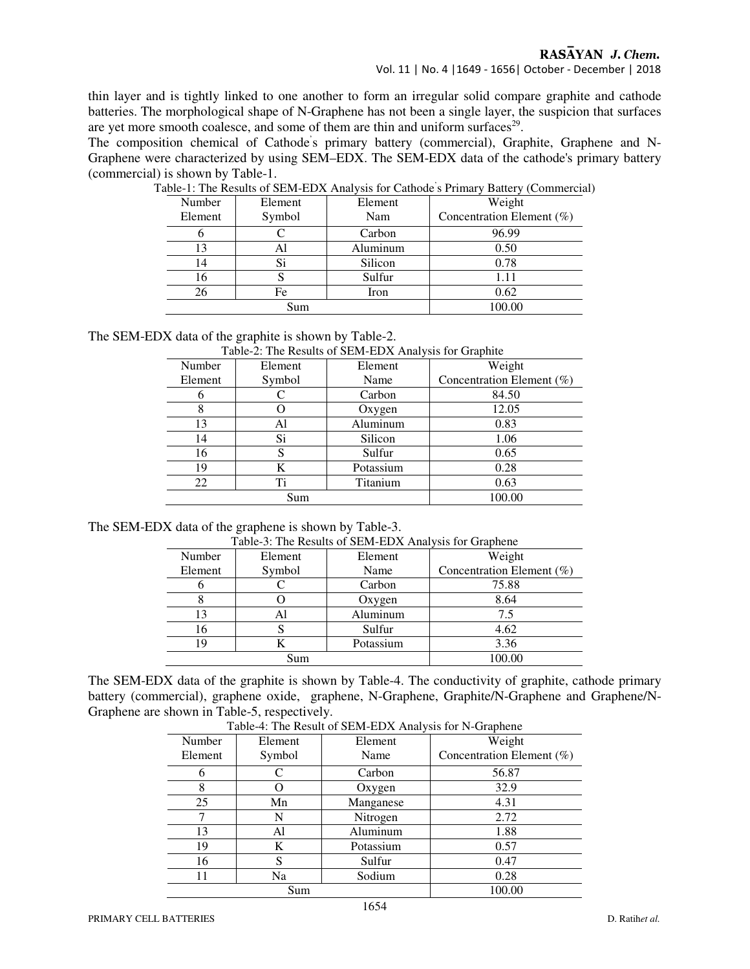thin layer and is tightly linked to one another to form an irregular solid compare graphite and cathode batteries. The morphological shape of N-Graphene has not been a single layer, the suspicion that surfaces are yet more smooth coalesce, and some of them are thin and uniform surfaces<sup>29</sup>.

The composition chemical of Cathode' s primary battery (commercial), Graphite, Graphene and N-Graphene were characterized by using SEM–EDX. The SEM-EDX data of the cathode's primary battery (commercial) is shown by Table-1.

| Number  | Element | Element  | Weight                    |  |
|---------|---------|----------|---------------------------|--|
| Element | Symbol  | Nam      | Concentration Element (%) |  |
|         |         | Carbon   | 96.99                     |  |
| 13      | Al      | Aluminum | 0.50                      |  |
| 14      | Si      | Silicon  | 0.78                      |  |
| 16      | O       | Sulfur   | 1.11                      |  |
| 26      | Fe      | Iron     | 0.62                      |  |
| Sum     |         |          | 100.00                    |  |
|         |         |          |                           |  |

Table-1: The Results of SEM-EDX Analysis for Cathode ' s Primary Battery (Commercial)

The SEM-EDX data of the graphite is shown by Table-2.

| Table-2. The Kesults of SERI-EDA Analysis for Graphite |         |           |                              |  |  |
|--------------------------------------------------------|---------|-----------|------------------------------|--|--|
| Number                                                 | Element | Element   | Weight                       |  |  |
| Element                                                | Symbol  | Name      | Concentration Element $(\%)$ |  |  |
|                                                        |         | Carbon    | 84.50                        |  |  |
|                                                        |         | Oxygen    | 12.05                        |  |  |
| 13                                                     | Al      | Aluminum  | 0.83                         |  |  |
| 14                                                     | Si      | Silicon   | 1.06                         |  |  |
| 16                                                     | S       | Sulfur    | 0.65                         |  |  |
| 19                                                     | K       | Potassium | 0.28                         |  |  |
| Ti<br>22                                               |         | Titanium  | 0.63                         |  |  |
| Sum                                                    |         |           | 100.00                       |  |  |

Table-2: The Results of SEM-EDX Analysis for Graphite

| Table-3: The Results of SEM-EDX Analysis for Graphene |  |
|-------------------------------------------------------|--|
|-------------------------------------------------------|--|

| Number  | Element | Element   | Weight                    |  |
|---------|---------|-----------|---------------------------|--|
| Element | Symbol  | Name      | Concentration Element (%) |  |
|         |         | Carbon    | 75.88                     |  |
|         |         | Oxygen    | 8.64                      |  |
| 13      | Al      | Aluminum  | 7.5                       |  |
| 16      |         | Sulfur    | 4.62                      |  |
| 19      |         | Potassium | 3.36                      |  |
| Sum     |         |           | LOO OO                    |  |

The SEM-EDX data of the graphite is shown by Table-4. The conductivity of graphite, cathode primary battery (commercial), graphene oxide, graphene, N-Graphene, Graphite/N-Graphene and Graphene/N-Graphene are shown in Table-5, respectively.

| Table-4. The Result of SENI-EDA Allarysis for in-Graphene |         |           |                              |  |  |
|-----------------------------------------------------------|---------|-----------|------------------------------|--|--|
| Number                                                    | Element | Element   | Weight                       |  |  |
| Element                                                   | Symbol  | Name      | Concentration Element $(\%)$ |  |  |
| 6                                                         | C       | Carbon    | 56.87                        |  |  |
| 8                                                         |         | Oxygen    | 32.9                         |  |  |
| 25                                                        | Mn      | Manganese | 4.31                         |  |  |
|                                                           | N       | Nitrogen  | 2.72                         |  |  |
| 13                                                        | Al      | Aluminum  | 1.88                         |  |  |
| 19                                                        | K       | Potassium | 0.57                         |  |  |
| 16                                                        | S       | Sulfur    | 0.47                         |  |  |
| 11                                                        | Na      | Sodium    | 0.28                         |  |  |
| Sum                                                       |         |           | 100.00                       |  |  |

Table-4: The Result of SEM-EDX Analysis for N-Graphene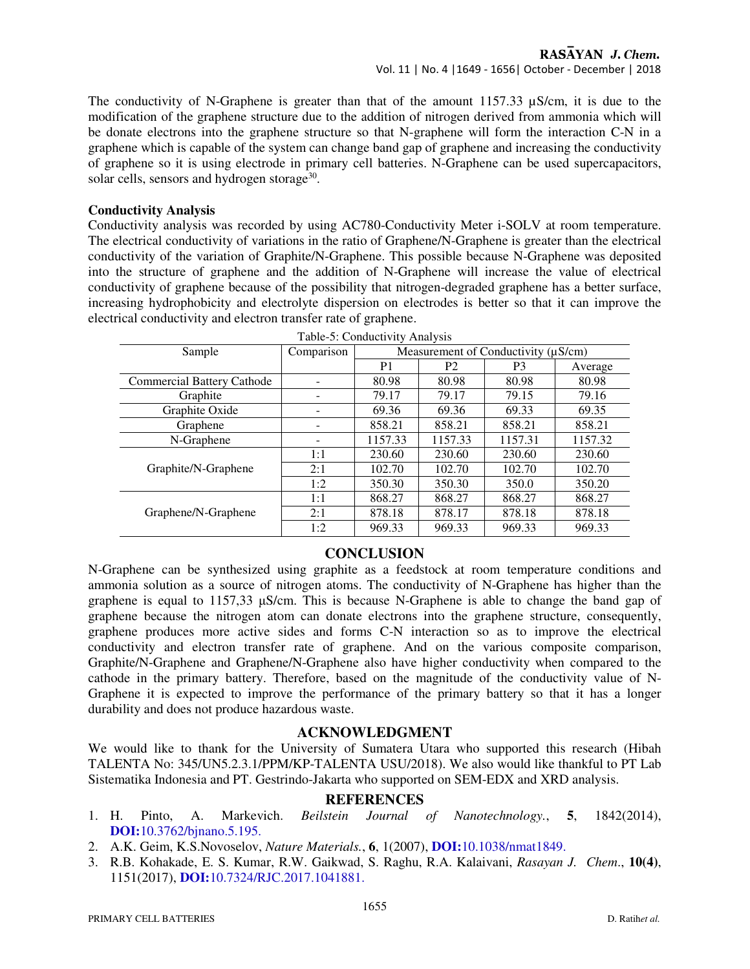The conductivity of N-Graphene is greater than that of the amount 1157.33  $\mu$ S/cm, it is due to the modification of the graphene structure due to the addition of nitrogen derived from ammonia which will be donate electrons into the graphene structure so that N-graphene will form the interaction C-N in a graphene which is capable of the system can change band gap of graphene and increasing the conductivity of graphene so it is using electrode in primary cell batteries. N-Graphene can be used supercapacitors, solar cells, sensors and hydrogen storage<sup>30</sup>.

#### **Conductivity Analysis**

Conductivity analysis was recorded by using AC780-Conductivity Meter i-SOLV at room temperature. The electrical conductivity of variations in the ratio of Graphene/N-Graphene is greater than the electrical conductivity of the variation of Graphite/N-Graphene. This possible because N-Graphene was deposited into the structure of graphene and the addition of N-Graphene will increase the value of electrical conductivity of graphene because of the possibility that nitrogen-degraded graphene has a better surface, increasing hydrophobicity and electrolyte dispersion on electrodes is better so that it can improve the electrical conductivity and electron transfer rate of graphene.

| Sample                     | $1.4010$ . Conductivity in the state<br>Measurement of Conductivity ( $\mu$ S/cm)<br>Comparison |                |                |                |         |
|----------------------------|-------------------------------------------------------------------------------------------------|----------------|----------------|----------------|---------|
|                            |                                                                                                 | P <sub>1</sub> | P <sub>2</sub> | P <sub>3</sub> | Average |
| Commercial Battery Cathode |                                                                                                 | 80.98          | 80.98          | 80.98          | 80.98   |
| Graphite                   |                                                                                                 | 79.17          | 79.17          | 79.15          | 79.16   |
| Graphite Oxide             |                                                                                                 | 69.36          | 69.36          | 69.33          | 69.35   |
| Graphene                   |                                                                                                 | 858.21         | 858.21         | 858.21         | 858.21  |
| N-Graphene                 |                                                                                                 | 1157.33        | 1157.33        | 1157.31        | 1157.32 |
|                            | 1:1                                                                                             | 230.60         | 230.60         | 230.60         | 230.60  |
| Graphite/N-Graphene        | 2:1                                                                                             | 102.70         | 102.70         | 102.70         | 102.70  |
|                            | 1:2                                                                                             | 350.30         | 350.30         | 350.0          | 350.20  |
|                            | 1:1                                                                                             | 868.27         | 868.27         | 868.27         | 868.27  |
| Graphene/N-Graphene        | 2:1                                                                                             | 878.18         | 878.17         | 878.18         | 878.18  |
|                            | 1:2                                                                                             | 969.33         | 969.33         | 969.33         | 969.33  |

Table-5: Conductivity Analysis

# **CONCLUSION**

N-Graphene can be synthesized using graphite as a feedstock at room temperature conditions and ammonia solution as a source of nitrogen atoms. The conductivity of N-Graphene has higher than the graphene is equal to 1157,33 µS/cm. This is because N-Graphene is able to change the band gap of graphene because the nitrogen atom can donate electrons into the graphene structure, consequently, graphene produces more active sides and forms C-N interaction so as to improve the electrical conductivity and electron transfer rate of graphene. And on the various composite comparison, Graphite/N-Graphene and Graphene/N-Graphene also have higher conductivity when compared to the cathode in the primary battery. Therefore, based on the magnitude of the conductivity value of N-Graphene it is expected to improve the performance of the primary battery so that it has a longer durability and does not produce hazardous waste.

#### **ACKNOWLEDGMENT**

We would like to thank for the University of Sumatera Utara who supported this research (Hibah TALENTA No: 345/UN5.2.3.1/PPM/KP-TALENTA USU/2018). We also would like thankful to PT Lab Sistematika Indonesia and PT. Gestrindo-Jakarta who supported on SEM-EDX and XRD analysis.

## **REFERENCES**

- 1. H. Pinto, A. Markevich. *Beilstein Journal of Nanotechnology.*, **5**, 1842(2014), **DOI:**10.3762/bjnano.5.195.
- 2. A.K. Geim, K.S.Novoselov, *Nature Materials.*, **6**, 1(2007), **DOI:**10.1038/nmat1849.
- 3. R.B. Kohakade, E. S. Kumar, R.W. Gaikwad, S. Raghu, R.A. Kalaivani, *Rasayan J. Chem*., **10(4)**, 1151(2017), **DOI:**10.7324/RJC.2017.1041881.